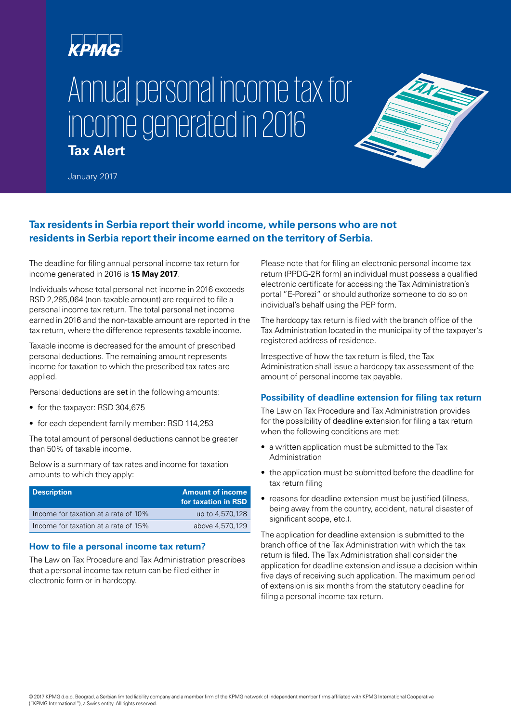# крмG

# Annual personal income tax for income generated in 2016 **Tax Alert**



January 2017

# **Tax residents in Serbia report their world income, while persons who are not residents in Serbia report their income earned on the territory of Serbia.**

The deadline for filing annual personal income tax return for income generated in 2016 is **15 May 2017**.

Individuals whose total personal net income in 2016 exceeds RSD 2,285,064 (non-taxable amount) are required to file a personal income tax return. The total personal net income earned in 2016 and the non-taxable amount are reported in the tax return, where the difference represents taxable income.

Taxable income is decreased for the amount of prescribed personal deductions. The remaining amount represents income for taxation to which the prescribed tax rates are applied.

Personal deductions are set in the following amounts:

- for the taxpayer: RSD 304,675
- for each dependent family member: RSD 114,253

The total amount of personal deductions cannot be greater than 50% of taxable income.

Below is a summary of tax rates and income for taxation amounts to which they apply:

| <b>Description</b>                   | <b>Amount of income</b><br>for taxation in RSD |
|--------------------------------------|------------------------------------------------|
| Income for taxation at a rate of 10% | up to 4,570,128                                |
| Income for taxation at a rate of 15% | above 4,570,129                                |

#### **How to file a personal income tax return?**

The Law on Tax Procedure and Tax Administration prescribes that a personal income tax return can be filed either in electronic form or in hardcopy.

Please note that for filing an electronic personal income tax return (PPDG-2R form) an individual must possess a qualified electronic certificate for accessing the Tax Administration's portal "E-Porezi" or should authorize someone to do so on individual's behalf using the PEP form.

The hardcopy tax return is filed with the branch office of the Tax Administration located in the municipality of the taxpayer's registered address of residence.

Irrespective of how the tax return is filed, the Tax Administration shall issue a hardcopy tax assessment of the amount of personal income tax payable.

## **Possibility of deadline extension for filing tax return**

The Law on Tax Procedure and Tax Administration provides for the possibility of deadline extension for filing a tax return when the following conditions are met:

- a written application must be submitted to the Tax Administration
- the application must be submitted before the deadline for tax return filing
- reasons for deadline extension must be justified (illness, being away from the country, accident, natural disaster of significant scope, etc.).

The application for deadline extension is submitted to the branch office of the Tax Administration with which the tax return is filed. The Tax Administration shall consider the application for deadline extension and issue a decision within five days of receiving such application. The maximum period of extension is six months from the statutory deadline for filing a personal income tax return.